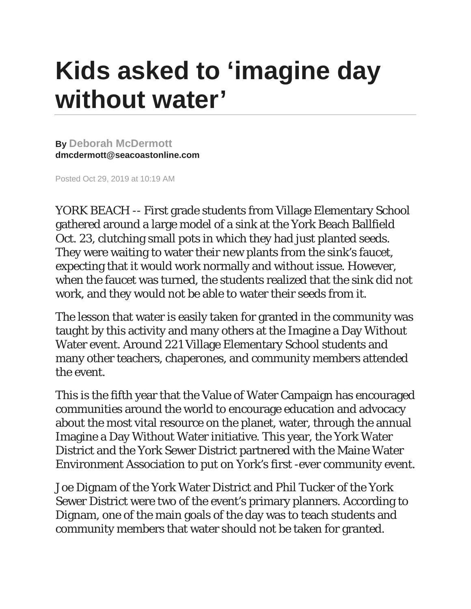## **Kids asked to 'imagine day without water'**

**By [Deborah McDermott](mailto:dmcdermott@seacoastonline.com) dmcdermott@seacoastonline.com**

Posted Oct 29, 2019 at 10:19 AM

YORK BEACH -- First grade students from Village Elementary School gathered around a large model of a sink at the York Beach Ballfield Oct. 23, clutching small pots in which they had just planted seeds. They were waiting to water their new plants from the sink's faucet, expecting that it would work normally and without issue. However, when the faucet was turned, the students realized that the sink did not work, and they would not be able to water their seeds from it.

The lesson that water is easily taken for granted in the community was taught by this activity and many others at the Imagine a Day Without Water event. Around 221 Village Elementary School students and many other teachers, chaperones, and community members attended the event.

This is the fifth year that the Value of Water Campaign has encouraged communities around the world to encourage education and advocacy about the most vital resource on the planet, water, through the annual Imagine a Day Without Water initiative. This year, the York Water District and the York Sewer District partnered with the Maine Water Environment Association to put on York's first -ever community event.

Joe Dignam of the York Water District and Phil Tucker of the York Sewer District were two of the event's primary planners. According to Dignam, one of the main goals of the day was to teach students and community members that water should not be taken for granted.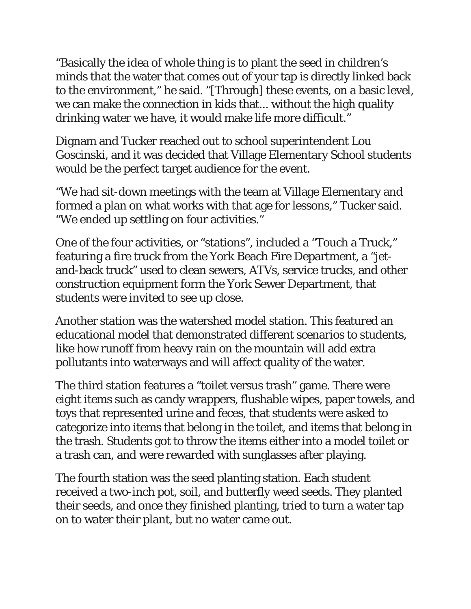"Basically the idea of whole thing is to plant the seed in children's minds that the water that comes out of your tap is directly linked back to the environment," he said. "[Through] these events, on a basic level, we can make the connection in kids that... without the high quality drinking water we have, it would make life more difficult."

Dignam and Tucker reached out to school superintendent Lou Goscinski, and it was decided that Village Elementary School students would be the perfect target audience for the event.

"We had sit-down meetings with the team at Village Elementary and formed a plan on what works with that age for lessons," Tucker said. "We ended up settling on four activities."

One of the four activities, or "stations", included a "Touch a Truck," featuring a fire truck from the York Beach Fire Department, a "jetand-back truck" used to clean sewers, ATVs, service trucks, and other construction equipment form the York Sewer Department, that students were invited to see up close.

Another station was the watershed model station. This featured an educational model that demonstrated different scenarios to students, like how runoff from heavy rain on the mountain will add extra pollutants into waterways and will affect quality of the water.

The third station features a "toilet versus trash" game. There were eight items such as candy wrappers, flushable wipes, paper towels, and toys that represented urine and feces, that students were asked to categorize into items that belong in the toilet, and items that belong in the trash. Students got to throw the items either into a model toilet or a trash can, and were rewarded with sunglasses after playing.

The fourth station was the seed planting station. Each student received a two-inch pot, soil, and butterfly weed seeds. They planted their seeds, and once they finished planting, tried to turn a water tap on to water their plant, but no water came out.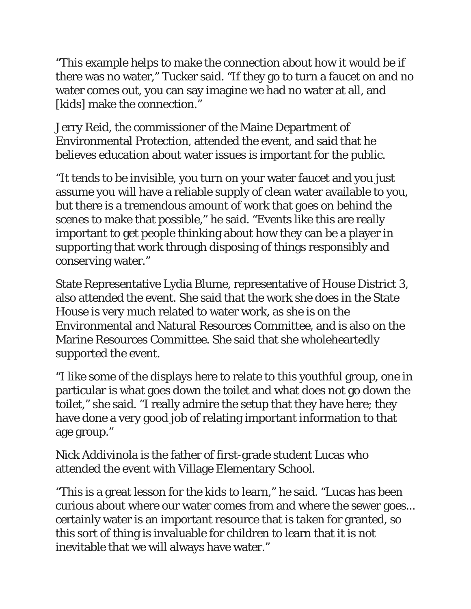"This example helps to make the connection about how it would be if there was no water," Tucker said. "If they go to turn a faucet on and no water comes out, you can say imagine we had no water at all, and [kids] make the connection."

Jerry Reid, the commissioner of the Maine Department of Environmental Protection, attended the event, and said that he believes education about water issues is important for the public.

"It tends to be invisible, you turn on your water faucet and you just assume you will have a reliable supply of clean water available to you, but there is a tremendous amount of work that goes on behind the scenes to make that possible," he said. "Events like this are really important to get people thinking about how they can be a player in supporting that work through disposing of things responsibly and conserving water."

State Representative Lydia Blume, representative of House District 3, also attended the event. She said that the work she does in the State House is very much related to water work, as she is on the Environmental and Natural Resources Committee, and is also on the Marine Resources Committee. She said that she wholeheartedly supported the event.

"I like some of the displays here to relate to this youthful group, one in particular is what goes down the toilet and what does not go down the toilet," she said. "I really admire the setup that they have here; they have done a very good job of relating important information to that age group."

Nick Addivinola is the father of first-grade student Lucas who attended the event with Village Elementary School.

"This is a great lesson for the kids to learn," he said. "Lucas has been curious about where our water comes from and where the sewer goes... certainly water is an important resource that is taken for granted, so this sort of thing is invaluable for children to learn that it is not inevitable that we will always have water."